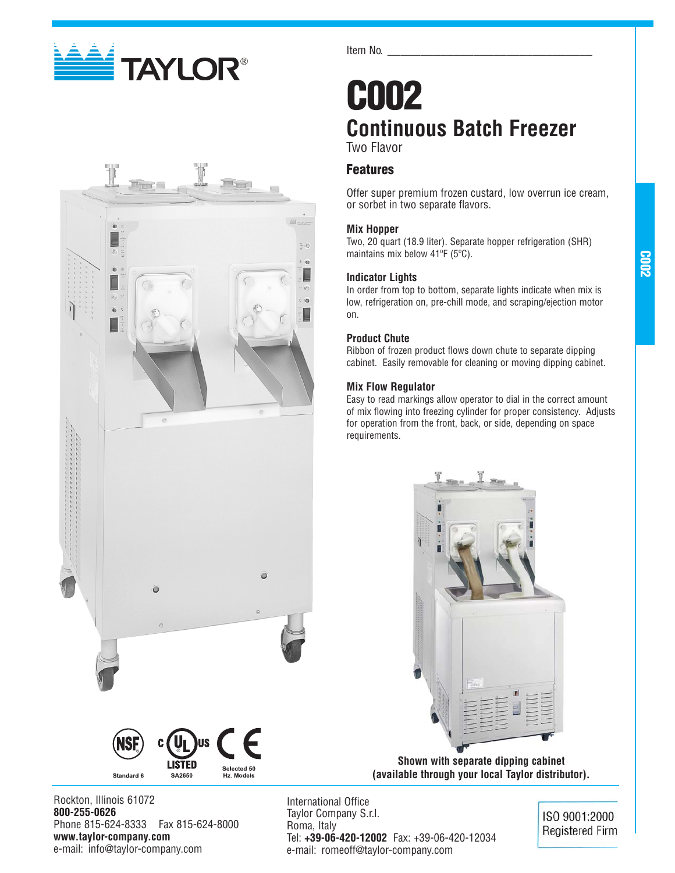



Item No.

## **C002 Continuous Batch Freezer** Two Flavor

## **Features**

Offer super premium frozen custard, low overrun ice cream, or sorbet in two separate flavors.

### **Mix Hopper**

Two, 20 quart (18.9 liter). Separate hopper refrigeration (SHR) maintains mix below 41ºF (5ºC).

## **Indicator Lights**

In order from top to bottom, separate lights indicate when mix is low, refrigeration on, pre-chill mode, and scraping/ejection motor on.

## **Product Chute**

Ribbon of frozen product flows down chute to separate dipping cabinet. Easily removable for cleaning or moving dipping cabinet.

## **Mix Flow Regulator**

Easy to read markings allow operator to dial in the correct amount of mix flowing into freezing cylinder for proper consistency. Adjusts for operation from the front, back, or side, depending on space requirements.



**Shown with separate dipping cabinet (available through your local Taylor distributor).**

Rockton, Illinois 61072 **800-255-0626** Phone 815-624-8333 Fax 815-624-8000 **www.taylor-company.com** e-mail: info@taylor-company.com

Standard 6

**LISTED** 

SA2650

Selected 50<br>Hz. Models

International Office Taylor Company S.r.l. Roma, Italy Tel: **+39-06-420-12002** Fax: +39-06-420-12034 e-mail: romeoff@taylor-company.com